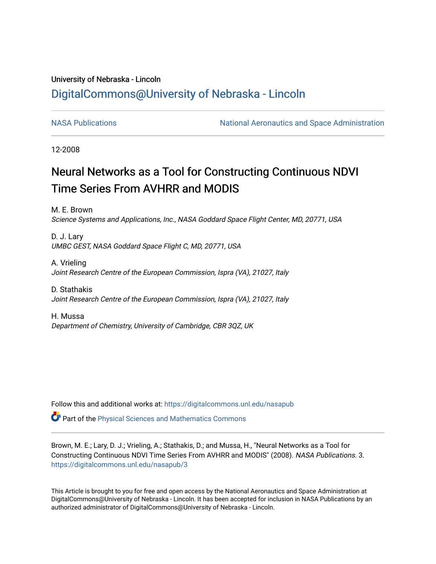## University of Nebraska - Lincoln [DigitalCommons@University of Nebraska - Lincoln](https://digitalcommons.unl.edu/)

[NASA Publications](https://digitalcommons.unl.edu/nasapub) **National Aeronautics and Space Administration** 

12-2008

# Neural Networks as a Tool for Constructing Continuous NDVI Time Series From AVHRR and MODIS

M. E. Brown Science Systems and Applications, Inc., NASA Goddard Space Flight Center, MD, 20771, USA

D. J. Lary UMBC GEST, NASA Goddard Space Flight C, MD, 20771, USA

A. Vrieling Joint Research Centre of the European Commission, Ispra (VA), 21027, Italy

D. Stathakis Joint Research Centre of the European Commission, Ispra (VA), 21027, Italy

H. Mussa Department of Chemistry, University of Cambridge, CBR 3QZ, UK

Follow this and additional works at: [https://digitalcommons.unl.edu/nasapub](https://digitalcommons.unl.edu/nasapub?utm_source=digitalcommons.unl.edu%2Fnasapub%2F3&utm_medium=PDF&utm_campaign=PDFCoverPages) 

Part of the [Physical Sciences and Mathematics Commons](http://network.bepress.com/hgg/discipline/114?utm_source=digitalcommons.unl.edu%2Fnasapub%2F3&utm_medium=PDF&utm_campaign=PDFCoverPages) 

Brown, M. E.; Lary, D. J.; Vrieling, A.; Stathakis, D.; and Mussa, H., "Neural Networks as a Tool for Constructing Continuous NDVI Time Series From AVHRR and MODIS" (2008). NASA Publications. 3. [https://digitalcommons.unl.edu/nasapub/3](https://digitalcommons.unl.edu/nasapub/3?utm_source=digitalcommons.unl.edu%2Fnasapub%2F3&utm_medium=PDF&utm_campaign=PDFCoverPages) 

This Article is brought to you for free and open access by the National Aeronautics and Space Administration at DigitalCommons@University of Nebraska - Lincoln. It has been accepted for inclusion in NASA Publications by an authorized administrator of DigitalCommons@University of Nebraska - Lincoln.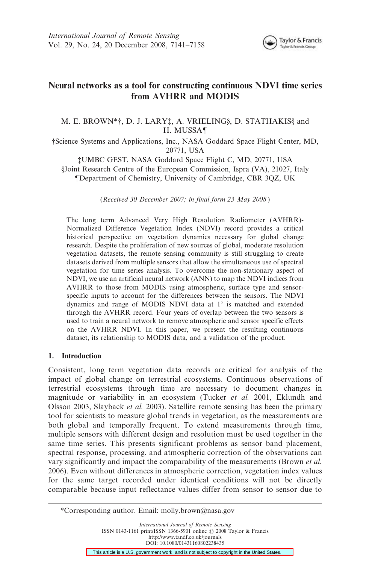

## Neural networks as a tool for constructing continuous NDVI time series from AVHRR and MODIS

#### M. E. BROWN\*†, D. J. LARY‡, A. VRIELING§, D. STATHAKIS§ and H. MUSSA¶

{Science Systems and Applications, Inc., NASA Goddard Space Flight Center, MD, 20771, USA

{UMBC GEST, NASA Goddard Space Flight C, MD, 20771, USA §Joint Research Centre of the European Commission, Ispra (VA), 21027, Italy "Department of Chemistry, University of Cambridge, CBR 3QZ, UK

(Received 30 December 2007; in final form 23 May 2008 )

The long term Advanced Very High Resolution Radiometer (AVHRR)- Normalized Difference Vegetation Index (NDVI) record provides a critical historical perspective on vegetation dynamics necessary for global change research. Despite the proliferation of new sources of global, moderate resolution vegetation datasets, the remote sensing community is still struggling to create datasets derived from multiple sensors that allow the simultaneous use of spectral vegetation for time series analysis. To overcome the non-stationary aspect of NDVI, we use an artificial neural network (ANN) to map the NDVI indices from AVHRR to those from MODIS using atmospheric, surface type and sensorspecific inputs to account for the differences between the sensors. The NDVI dynamics and range of MODIS NDVI data at  $1^\circ$  is matched and extended through the AVHRR record. Four years of overlap between the two sensors is used to train a neural network to remove atmospheric and sensor specific effects on the AVHRR NDVI. In this paper, we present the resulting continuous dataset, its relationship to MODIS data, and a validation of the product.

#### 1. Introduction

Consistent, long term vegetation data records are critical for analysis of the impact of global change on terrestrial ecosystems. Continuous observations of terrestrial ecosystems through time are necessary to document changes in magnitude or variability in an ecosystem (Tucker et al. 2001, Eklundh and Olsson 2003, Slayback et al. 2003). Satellite remote sensing has been the primary tool for scientists to measure global trends in vegetation, as the measurements are both global and temporally frequent. To extend measurements through time, multiple sensors with different design and resolution must be used together in the same time series. This presents significant problems as sensor band placement, spectral response, processing, and atmospheric correction of the observations can vary significantly and impact the comparability of the measurements (Brown et al. 2006). Even without differences in atmospheric correction, vegetation index values for the same target recorded under identical conditions will not be directly comparable because input reflectance values differ from sensor to sensor due to

International Journal of Remote Sensing ISSN 0143-1161 print/ISSN 1366-5901 online © 2008 Taylor & Francis http://www.tandf.co.uk/journals DOI: 10.1080/01431160802238435

This article is a U.S. government work, and is not subject to copyright in the United States.

<sup>\*</sup>Corresponding author. Email: molly.brown@nasa.gov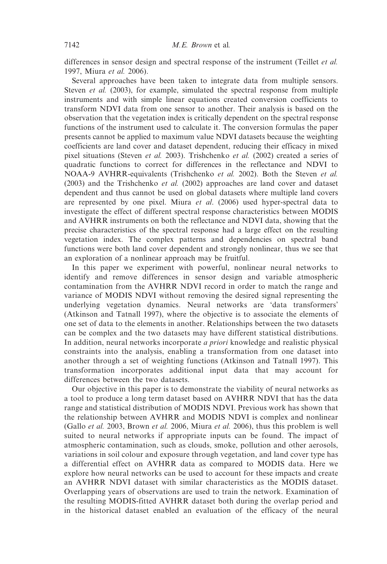differences in sensor design and spectral response of the instrument (Teillet et al. 1997, Miura et al. 2006).

Several approaches have been taken to integrate data from multiple sensors. Steven *et al.* (2003), for example, simulated the spectral response from multiple instruments and with simple linear equations created conversion coefficients to transform NDVI data from one sensor to another. Their analysis is based on the observation that the vegetation index is critically dependent on the spectral response functions of the instrument used to calculate it. The conversion formulas the paper presents cannot be applied to maximum value NDVI datasets because the weighting coefficients are land cover and dataset dependent, reducing their efficacy in mixed pixel situations (Steven et al. 2003). Trishchenko et al. (2002) created a series of quadratic functions to correct for differences in the reflectance and NDVI to NOAA-9 AVHRR-equivalents (Trishchenko et al. 2002). Both the Steven et al. (2003) and the Trishchenko et al. (2002) approaches are land cover and dataset dependent and thus cannot be used on global datasets where multiple land covers are represented by one pixel. Miura *et al.* (2006) used hyper-spectral data to investigate the effect of different spectral response characteristics between MODIS and AVHRR instruments on both the reflectance and NDVI data, showing that the precise characteristics of the spectral response had a large effect on the resulting vegetation index. The complex patterns and dependencies on spectral band functions were both land cover dependent and strongly nonlinear, thus we see that an exploration of a nonlinear approach may be fruitful.

In this paper we experiment with powerful, nonlinear neural networks to identify and remove differences in sensor design and variable atmospheric contamination from the AVHRR NDVI record in order to match the range and variance of MODIS NDVI without removing the desired signal representing the underlying vegetation dynamics. Neural networks are 'data transformers' (Atkinson and Tatnall 1997), where the objective is to associate the elements of one set of data to the elements in another. Relationships between the two datasets can be complex and the two datasets may have different statistical distributions. In addition, neural networks incorporate *a priori* knowledge and realistic physical constraints into the analysis, enabling a transformation from one dataset into another through a set of weighting functions (Atkinson and Tatnall 1997). This transformation incorporates additional input data that may account for differences between the two datasets.

Our objective in this paper is to demonstrate the viability of neural networks as a tool to produce a long term dataset based on AVHRR NDVI that has the data range and statistical distribution of MODIS NDVI. Previous work has shown that the relationship between AVHRR and MODIS NDVI is complex and nonlinear (Gallo et al. 2003, Brown et al. 2006, Miura et al. 2006), thus this problem is well suited to neural networks if appropriate inputs can be found. The impact of atmospheric contamination, such as clouds, smoke, pollution and other aerosols, variations in soil colour and exposure through vegetation, and land cover type has a differential effect on AVHRR data as compared to MODIS data. Here we explore how neural networks can be used to account for these impacts and create an AVHRR NDVI dataset with similar characteristics as the MODIS dataset. Overlapping years of observations are used to train the network. Examination of the resulting MODIS-fitted AVHRR dataset both during the overlap period and in the historical dataset enabled an evaluation of the efficacy of the neural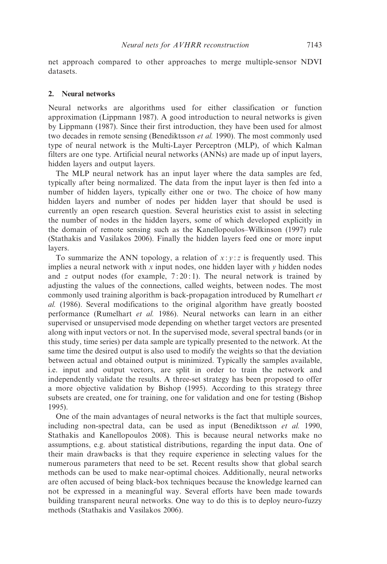net approach compared to other approaches to merge multiple-sensor NDVI datasets.

#### 2. Neural networks

Neural networks are algorithms used for either classification or function approximation (Lippmann 1987). A good introduction to neural networks is given by Lippmann (1987). Since their first introduction, they have been used for almost two decades in remote sensing (Benediktsson et al. 1990). The most commonly used type of neural network is the Multi-Layer Perceptron (MLP), of which Kalman filters are one type. Artificial neural networks (ANNs) are made up of input layers, hidden layers and output layers.

The MLP neural network has an input layer where the data samples are fed, typically after being normalized. The data from the input layer is then fed into a number of hidden layers, typically either one or two. The choice of how many hidden layers and number of nodes per hidden layer that should be used is currently an open research question. Several heuristics exist to assist in selecting the number of nodes in the hidden layers, some of which developed explicitly in the domain of remote sensing such as the Kanellopoulos–Wilkinson (1997) rule (Stathakis and Vasilakos 2006). Finally the hidden layers feed one or more input layers.

To summarize the ANN topology, a relation of  $x : y : z$  is frequently used. This implies a neural network with x input nodes, one hidden layer with  $\nu$  hidden nodes and z output nodes (for example,  $7:20:1$ ). The neural network is trained by adjusting the values of the connections, called weights, between nodes. The most commonly used training algorithm is back-propagation introduced by Rumelhart et al. (1986). Several modifications to the original algorithm have greatly boosted performance (Rumelhart et al. 1986). Neural networks can learn in an either supervised or unsupervised mode depending on whether target vectors are presented along with input vectors or not. In the supervised mode, several spectral bands (or in this study, time series) per data sample are typically presented to the network. At the same time the desired output is also used to modify the weights so that the deviation between actual and obtained output is minimized. Typically the samples available, i.e. input and output vectors, are split in order to train the network and independently validate the results. A three-set strategy has been proposed to offer a more objective validation by Bishop (1995). According to this strategy three subsets are created, one for training, one for validation and one for testing (Bishop 1995).

One of the main advantages of neural networks is the fact that multiple sources, including non-spectral data, can be used as input (Benediktsson *et al.* 1990, Stathakis and Kanellopoulos 2008). This is because neural networks make no assumptions, e.g. about statistical distributions, regarding the input data. One of their main drawbacks is that they require experience in selecting values for the numerous parameters that need to be set. Recent results show that global search methods can be used to make near-optimal choices. Additionally, neural networks are often accused of being black-box techniques because the knowledge learned can not be expressed in a meaningful way. Several efforts have been made towards building transparent neural networks. One way to do this is to deploy neuro-fuzzy methods (Stathakis and Vasilakos 2006).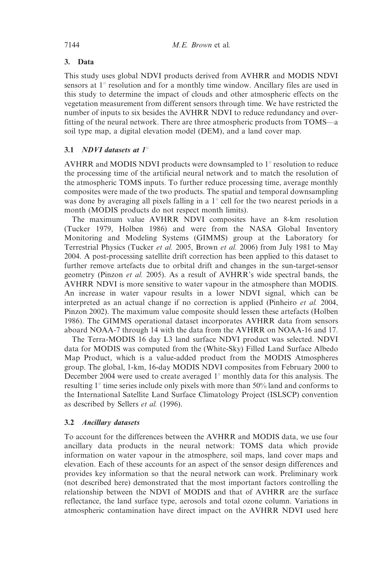## 3. Data

This study uses global NDVI products derived from AVHRR and MODIS NDVI sensors at  $1^\circ$  resolution and for a monthly time window. Ancillary files are used in this study to determine the impact of clouds and other atmospheric effects on the vegetation measurement from different sensors through time. We have restricted the number of inputs to six besides the AVHRR NDVI to reduce redundancy and overfitting of the neural network. There are three atmospheric products from TOMS—a soil type map, a digital elevation model (DEM), and a land cover map.

## 3.1 *NDVI* datasets at  $1^\circ$

AVHRR and MODIS NDVI products were downsampled to  $1^\circ$  resolution to reduce the processing time of the artificial neural network and to match the resolution of the atmospheric TOMS inputs. To further reduce processing time, average monthly composites were made of the two products. The spatial and temporal downsampling was done by averaging all pixels falling in a  $1^{\circ}$  cell for the two nearest periods in a month (MODIS products do not respect month limits).

The maximum value AVHRR NDVI composites have an 8-km resolution (Tucker 1979, Holben 1986) and were from the NASA Global Inventory Monitoring and Modeling Systems (GIMMS) group at the Laboratory for Terrestrial Physics (Tucker et al. 2005, Brown et al. 2006) from July 1981 to May 2004. A post-processing satellite drift correction has been applied to this dataset to further remove artefacts due to orbital drift and changes in the sun-target-sensor geometry (Pinzon et al. 2005). As a result of AVHRR's wide spectral bands, the AVHRR NDVI is more sensitive to water vapour in the atmosphere than MODIS. An increase in water vapour results in a lower NDVI signal, which can be interpreted as an actual change if no correction is applied (Pinheiro *et al.* 2004, Pinzon 2002). The maximum value composite should lessen these artefacts (Holben 1986). The GIMMS operational dataset incorporates AVHRR data from sensors aboard NOAA-7 through 14 with the data from the AVHRR on NOAA-16 and 17.

The Terra-MODIS 16 day L3 land surface NDVI product was selected. NDVI data for MODIS was computed from the (White-Sky) Filled Land Surface Albedo Map Product, which is a value-added product from the MODIS Atmospheres group. The global, 1-km, 16-day MODIS NDVI composites from February 2000 to December 2004 were used to create averaged  $1^{\circ}$  monthly data for this analysis. The resulting  $1^\circ$  time series include only pixels with more than 50% land and conforms to the International Satellite Land Surface Climatology Project (ISLSCP) convention as described by Sellers et al. (1996).

### 3.2 Ancillary datasets

To account for the differences between the AVHRR and MODIS data, we use four ancillary data products in the neural network: TOMS data which provide information on water vapour in the atmosphere, soil maps, land cover maps and elevation. Each of these accounts for an aspect of the sensor design differences and provides key information so that the neural network can work. Preliminary work (not described here) demonstrated that the most important factors controlling the relationship between the NDVI of MODIS and that of AVHRR are the surface reflectance, the land surface type, aerosols and total ozone column. Variations in atmospheric contamination have direct impact on the AVHRR NDVI used here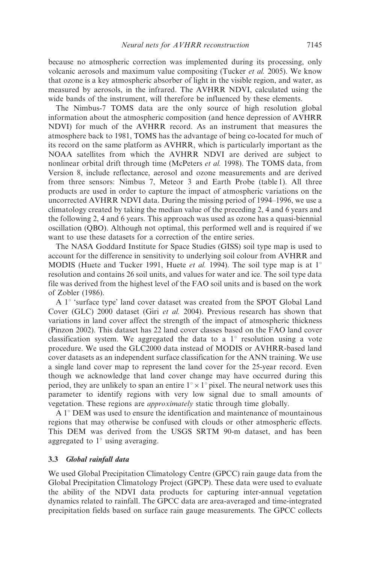because no atmospheric correction was implemented during its processing, only volcanic aerosols and maximum value compositing (Tucker et al. 2005). We know that ozone is a key atmospheric absorber of light in the visible region, and water, as measured by aerosols, in the infrared. The AVHRR NDVI, calculated using the wide bands of the instrument, will therefore be influenced by these elements.

The Nimbus-7 TOMS data are the only source of high resolution global information about the atmospheric composition (and hence depression of AVHRR NDVI) for much of the AVHRR record. As an instrument that measures the atmosphere back to 1981, TOMS has the advantage of being co-located for much of its record on the same platform as AVHRR, which is particularly important as the NOAA satellites from which the AVHRR NDVI are derived are subject to nonlinear orbital drift through time (McPeters et al. 1998). The TOMS data, from Version 8, include reflectance, aerosol and ozone measurements and are derived from three sensors: Nimbus 7, Meteor 3 and Earth Probe (table 1). All three products are used in order to capture the impact of atmospheric variations on the uncorrected AVHRR NDVI data. During the missing period of 1994–1996, we use a climatology created by taking the median value of the preceding 2, 4 and 6 years and the following 2, 4 and 6 years. This approach was used as ozone has a quasi-biennial oscillation (QBO). Although not optimal, this performed well and is required if we want to use these datasets for a correction of the entire series.

The NASA Goddard Institute for Space Studies (GISS) soil type map is used to account for the difference in sensitivity to underlying soil colour from AVHRR and MODIS (Huete and Tucker 1991, Huete *et al.* 1994). The soil type map is at  $1^{\circ}$ resolution and contains 26 soil units, and values for water and ice. The soil type data file was derived from the highest level of the FAO soil units and is based on the work of Zobler (1986).

A  $1^\circ$  'surface type' land cover dataset was created from the SPOT Global Land Cover (GLC) 2000 dataset (Giri et al. 2004). Previous research has shown that variations in land cover affect the strength of the impact of atmospheric thickness (Pinzon 2002). This dataset has 22 land cover classes based on the FAO land cover classification system. We aggregated the data to a  $1^{\circ}$  resolution using a vote procedure. We used the GLC2000 data instead of MODIS or AVHRR-based land cover datasets as an independent surface classification for the ANN training. We use a single land cover map to represent the land cover for the 25-year record. Even though we acknowledge that land cover change may have occurred during this period, they are unlikely to span an entire  $1^{\circ} \times 1^{\circ}$  pixel. The neural network uses this parameter to identify regions with very low signal due to small amounts of vegetation. These regions are approximately static through time globally.

A  $1^\circ$  DEM was used to ensure the identification and maintenance of mountainous regions that may otherwise be confused with clouds or other atmospheric effects. This DEM was derived from the USGS SRTM 90-m dataset, and has been aggregated to  $1^\circ$  using averaging.

#### 3.3 Global rainfall data

We used Global Precipitation Climatology Centre (GPCC) rain gauge data from the Global Precipitation Climatology Project (GPCP). These data were used to evaluate the ability of the NDVI data products for capturing inter-annual vegetation dynamics related to rainfall. The GPCC data are area-averaged and time-integrated precipitation fields based on surface rain gauge measurements. The GPCC collects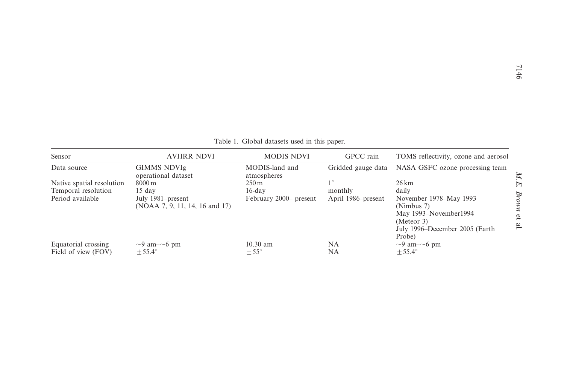| Table 1. Global datasets used in this paper. |  |
|----------------------------------------------|--|
|----------------------------------------------|--|

| Sensor                    | <b>AVHRR NDVI</b>                                   | <b>MODIS NDVI</b>             | GPCC rain          | TOMS reflectivity, ozone and aerosol                                                                                     |
|---------------------------|-----------------------------------------------------|-------------------------------|--------------------|--------------------------------------------------------------------------------------------------------------------------|
| Data source               | <b>GIMMS NDVIg</b><br>operational dataset           | MODIS-land and<br>atmospheres | Gridded gauge data | NASA GSFC ozone processing team                                                                                          |
| Native spatial resolution | $8000 \,\mathrm{m}$                                 | $250 \,\mathrm{m}$            | $1^{\circ}$        | $26 \mathrm{km}$                                                                                                         |
| Temporal resolution       | $15 \text{ day}$                                    | $16$ -day                     | monthly            | daily                                                                                                                    |
| Period available          | July 1981–present<br>(NOAA 7, 9, 11, 14, 16 and 17) | February 2000– present        | April 1986–present | November 1978–May 1993<br>(Nimbus 7)<br>May 1993–November1994<br>(Meteor 3)<br>July 1996–December 2005 (Earth)<br>Probe) |
| Equatorial crossing       | $\sim$ 9 am- $\sim$ 6 pm                            | $10.30$ am                    | NA                 | $\sim$ 9 am- $\sim$ 6 pm                                                                                                 |
| Field of view (FOV)       | $+55.4^{\circ}$                                     | $+55^{\circ}$                 | NA                 | $+55.4^{\circ}$                                                                                                          |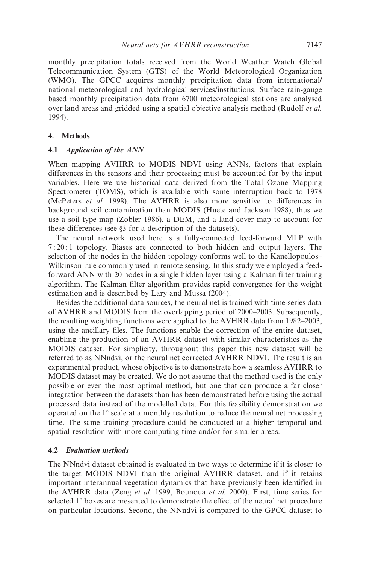monthly precipitation totals received from the World Weather Watch Global Telecommunication System (GTS) of the World Meteorological Organization (WMO). The GPCC acquires monthly precipitation data from international/ national meteorological and hydrological services/institutions. Surface rain-gauge based monthly precipitation data from 6700 meteorological stations are analysed over land areas and gridded using a spatial objective analysis method (Rudolf et al. 1994).

#### 4. Methods

#### 4.1 Application of the ANN

When mapping AVHRR to MODIS NDVI using ANNs, factors that explain differences in the sensors and their processing must be accounted for by the input variables. Here we use historical data derived from the Total Ozone Mapping Spectrometer (TOMS), which is available with some interruption back to 1978 (McPeters et al. 1998). The AVHRR is also more sensitive to differences in background soil contamination than MODIS (Huete and Jackson 1988), thus we use a soil type map (Zobler 1986), a DEM, and a land cover map to account for these differences (see §3 for a description of the datasets).

The neural network used here is a fully-connected feed-forward MLP with 7 : 20 : 1 topology. Biases are connected to both hidden and output layers. The selection of the nodes in the hidden topology conforms well to the Kanellopoulos– Wilkinson rule commonly used in remote sensing. In this study we employed a feedforward ANN with 20 nodes in a single hidden layer using a Kalman filter training algorithm. The Kalman filter algorithm provides rapid convergence for the weight estimation and is described by Lary and Mussa (2004).

Besides the additional data sources, the neural net is trained with time-series data of AVHRR and MODIS from the overlapping period of 2000–2003. Subsequently, the resulting weighting functions were applied to the AVHRR data from 1982–2003, using the ancillary files. The functions enable the correction of the entire dataset, enabling the production of an AVHRR dataset with similar characteristics as the MODIS dataset. For simplicity, throughout this paper this new dataset will be referred to as NNndvi, or the neural net corrected AVHRR NDVI. The result is an experimental product, whose objective is to demonstrate how a seamless AVHRR to MODIS dataset may be created. We do not assume that the method used is the only possible or even the most optimal method, but one that can produce a far closer integration between the datasets than has been demonstrated before using the actual processed data instead of the modelled data. For this feasibility demonstration we operated on the  $1^\circ$  scale at a monthly resolution to reduce the neural net processing time. The same training procedure could be conducted at a higher temporal and spatial resolution with more computing time and/or for smaller areas.

#### 4.2 Evaluation methods

The NNndvi dataset obtained is evaluated in two ways to determine if it is closer to the target MODIS NDVI than the original AVHRR dataset, and if it retains important interannual vegetation dynamics that have previously been identified in the AVHRR data (Zeng et al. 1999, Bounoua et al. 2000). First, time series for selected  $1^\circ$  boxes are presented to demonstrate the effect of the neural net procedure on particular locations. Second, the NNndvi is compared to the GPCC dataset to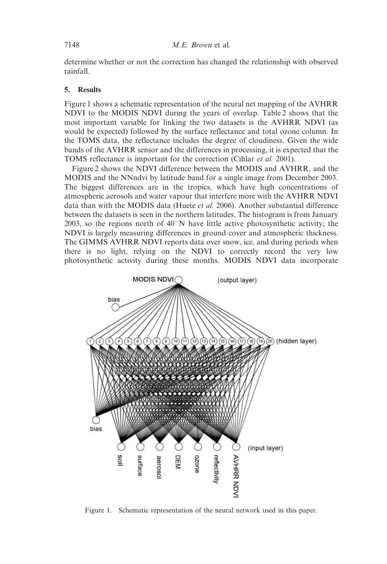determine whether or not the correction has changed the relationship with observed rainfall.

#### 5. Results

Figure 1 shows a schematic representation of the neural net mapping of the AVHRR NDVI to the MODIS NDVI during the years of overlap. Table 2 shows that the most important variable for linking the two datasets is the AVHRR NDVI (as would be expected) followed by the surface reflectance and total ozone column. In the TOMS data, the reflectance includes the degree of cloudiness. Given the wide bands of the AVHRR sensor and the differences in processing, it is expected that the TOMS reflectance is important for the correction (Cihlar et al. 2001).

Figure 2 shows the NDVI difference between the MODIS and AVHRR, and the MODIS and the NNndvi by latitude band for a single image from December 2003. The biggest differences are in the tropics, which have high concentrations of atmospheric aerosols and water vapour that interfere more with the AVHRR NDVI data than with the MODIS data (Huete et al. 2006). Another substantial difference between the datasets is seen in the northern latitudes. The histogram is from January 2003, so the regions north of  $40^{\circ}$ N have little active photosynthetic activity; the NDVI is largely measuring differences in ground cover and atmospheric thickness. The GIMMS AVHRR NDVI reports data over snow, ice, and during periods when there is no light, relying on the NDVI to correctly record the very low photosynthetic activity during these months. MODIS NDVI data incorporate



Figure 1. Schematic representation of the neural network used in this paper.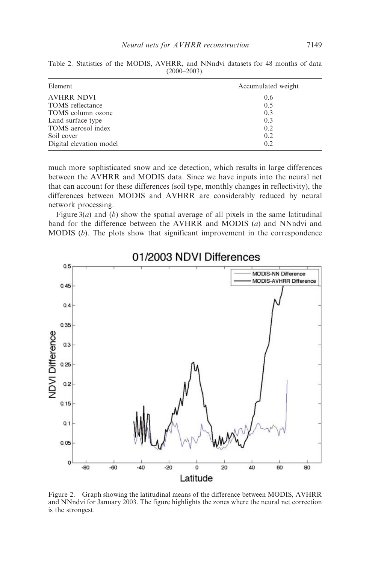| Element                 | Accumulated weight |  |  |  |
|-------------------------|--------------------|--|--|--|
| <b>AVHRR NDVI</b>       | 0.6                |  |  |  |
| <b>TOMS</b> reflectance | 0.5                |  |  |  |
| TOMS column ozone       | 0.3                |  |  |  |
| Land surface type       | 0.3                |  |  |  |
| TOMS aerosol index      | 0.2                |  |  |  |
| Soil cover              | 0.2                |  |  |  |
| Digital elevation model | 0.2                |  |  |  |

Table 2. Statistics of the MODIS, AVHRR, and NNndvi datasets for 48 months of data  $(2000-2003)$ .

much more sophisticated snow and ice detection, which results in large differences between the AVHRR and MODIS data. Since we have inputs into the neural net that can account for these differences (soil type, monthly changes in reflectivity), the differences between MODIS and AVHRR are considerably reduced by neural network processing.

Figure  $3(a)$  and (b) show the spatial average of all pixels in the same latitudinal band for the difference between the AVHRR and MODIS (a) and NNndvi and MODIS  $(b)$ . The plots show that significant improvement in the correspondence



01/2003 NDVI Differences

Figure 2. Graph showing the latitudinal means of the difference between MODIS, AVHRR and NNndvi for January 2003. The figure highlights the zones where the neural net correction is the strongest.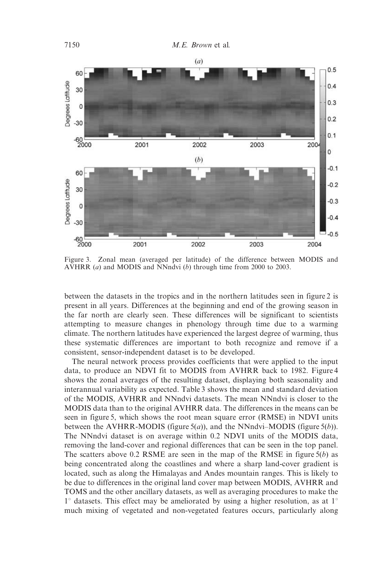

Figure 3. Zonal mean (averaged per latitude) of the difference between MODIS and AVHRR (*a*) and MODIS and NNndvi (*b*) through time from 2000 to 2003.

between the datasets in the tropics and in the northern latitudes seen in figure 2 is present in all years. Differences at the beginning and end of the growing season in the far north are clearly seen. These differences will be significant to scientists attempting to measure changes in phenology through time due to a warming climate. The northern latitudes have experienced the largest degree of warming, thus these systematic differences are important to both recognize and remove if a consistent, sensor-independent dataset is to be developed.

The neural network process provides coefficients that were applied to the input data, to produce an NDVI fit to MODIS from AVHRR back to 1982. Figure 4 shows the zonal averages of the resulting dataset, displaying both seasonality and interannual variability as expected. Table 3 shows the mean and standard deviation of the MODIS, AVHRR and NNndvi datasets. The mean NNndvi is closer to the MODIS data than to the original AVHRR data. The differences in the means can be seen in figure 5, which shows the root mean square error (RMSE) in NDVI units between the AVHRR-MODIS (figure  $5(a)$ ), and the NNndvi–MODIS (figure  $5(b)$ ). The NNndvi dataset is on average within 0.2 NDVI units of the MODIS data, removing the land-cover and regional differences that can be seen in the top panel. The scatters above 0.2 RSME are seen in the map of the RMSE in figure  $5(b)$  as being concentrated along the coastlines and where a sharp land-cover gradient is located, such as along the Himalayas and Andes mountain ranges. This is likely to be due to differences in the original land cover map between MODIS, AVHRR and TOMS and the other ancillary datasets, as well as averaging procedures to make the  $1^{\circ}$  datasets. This effect may be ameliorated by using a higher resolution, as at  $1^{\circ}$ much mixing of vegetated and non-vegetated features occurs, particularly along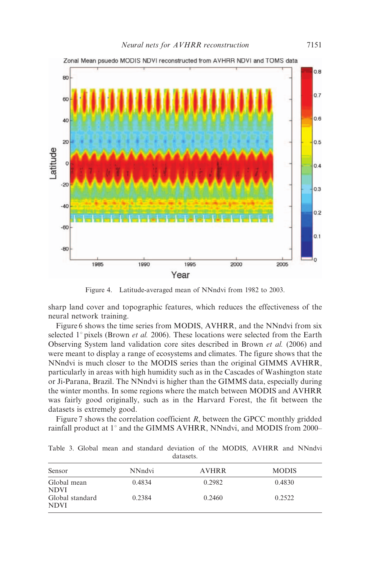

Zonal Mean psuedo MODIS NDVI reconstructed from AVHRR NDVI and TOMS data

Figure 4. Latitude-averaged mean of NNndvi from 1982 to 2003.

sharp land cover and topographic features, which reduces the effectiveness of the neural network training.

Figure 6 shows the time series from MODIS, AVHRR, and the NNndvi from six selected  $1^{\circ}$  pixels (Brown *et al.* 2006). These locations were selected from the Earth Observing System land validation core sites described in Brown et al. (2006) and were meant to display a range of ecosystems and climates. The figure shows that the NNndvi is much closer to the MODIS series than the original GIMMS AVHRR, particularly in areas with high humidity such as in the Cascades of Washington state or Ji-Parana, Brazil. The NNndvi is higher than the GIMMS data, especially during the winter months. In some regions where the match between MODIS and AVHRR was fairly good originally, such as in the Harvard Forest, the fit between the datasets is extremely good.

Figure 7 shows the correlation coefficient  $R$ , between the GPCC monthly gridded rainfall product at  $1^\circ$  and the GIMMS AVHRR, NNndvi, and MODIS from 2000–

|           |  |  |  |  |  | Table 3. Global mean and standard deviation of the MODIS, AVHRR and NNndvi |  |  |  |  |  |  |
|-----------|--|--|--|--|--|----------------------------------------------------------------------------|--|--|--|--|--|--|
| datasets. |  |  |  |  |  |                                                                            |  |  |  |  |  |  |

| Sensor                         | NN <sub>ndvi</sub> | <b>AVHRR</b> | <b>MODIS</b> |
|--------------------------------|--------------------|--------------|--------------|
| Global mean<br><b>NDVI</b>     | 0.4834             | 0.2982       | 0.4830       |
| Global standard<br><b>NDVI</b> | 0.2384             | 0.2460       | 0.2522       |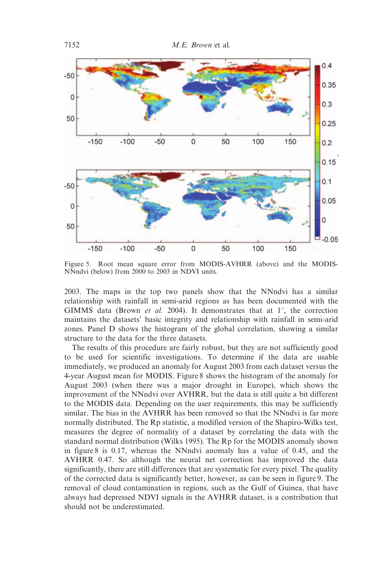

Figure 5. Root mean square error from MODIS-AVHRR (above) and the MODIS-NNndvi (below) from 2000 to 2003 in NDVI units.

2003. The maps in the top two panels show that the NNndvi has a similar relationship with rainfall in semi-arid regions as has been documented with the GIMMS data (Brown et al. 2004). It demonstrates that at  $1^{\circ}$ , the correction maintains the datasets' basic integrity and relationship with rainfall in semi-arid zones. Panel D shows the histogram of the global correlation, showing a similar structure to the data for the three datasets.

The results of this procedure are fairly robust, but they are not sufficiently good to be used for scientific investigations. To determine if the data are usable immediately, we produced an anomaly for August 2003 from each dataset versus the 4-year August mean for MODIS. Figure 8 shows the histogram of the anomaly for August 2003 (when there was a major drought in Europe), which shows the improvement of the NNndvi over AVHRR, but the data is still quite a bit different to the MODIS data. Depending on the user requirements, this may be sufficiently similar. The bias in the AVHRR has been removed so that the NNndvi is far more normally distributed. The Rp statistic, a modified version of the Shapiro-Wilks test, measures the degree of normality of a dataset by correlating the data with the standard normal distribution (Wilks 1995). The Rp for the MODIS anomaly shown in figure 8 is 0.17, whereas the NNndvi anomaly has a value of 0.45, and the AVHRR 0.47. So although the neural net correction has improved the data significantly, there are still differences that are systematic for every pixel. The quality of the corrected data is significantly better, however, as can be seen in figure 9. The removal of cloud contamination in regions, such as the Gulf of Guinea, that have always had depressed NDVI signals in the AVHRR dataset, is a contribution that should not be underestimated.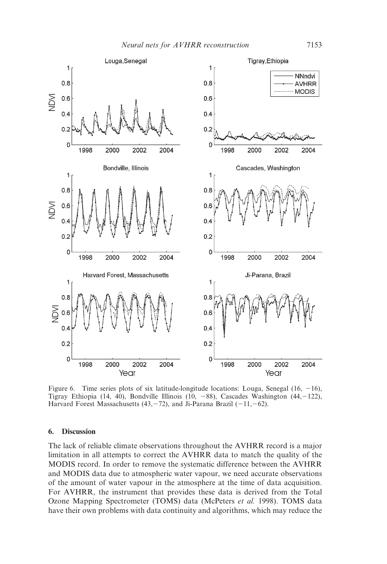

Figure 6. Time series plots of six latitude-longitude locations: Louga, Senegal  $(16, -16)$ , Tigray Ethiopia (14, 40), Bondville Illinois (10, -88), Cascades Washington (44, -122), Harvard Forest Massachusetts (43, -72), and Ji-Parana Brazil (-11, -62).

#### 6. Discussion

The lack of reliable climate observations throughout the AVHRR record is a major limitation in all attempts to correct the AVHRR data to match the quality of the MODIS record. In order to remove the systematic difference between the AVHRR and MODIS data due to atmospheric water vapour, we need accurate observations of the amount of water vapour in the atmosphere at the time of data acquisition. For AVHRR, the instrument that provides these data is derived from the Total Ozone Mapping Spectrometer (TOMS) data (McPeters et al. 1998). TOMS data have their own problems with data continuity and algorithms, which may reduce the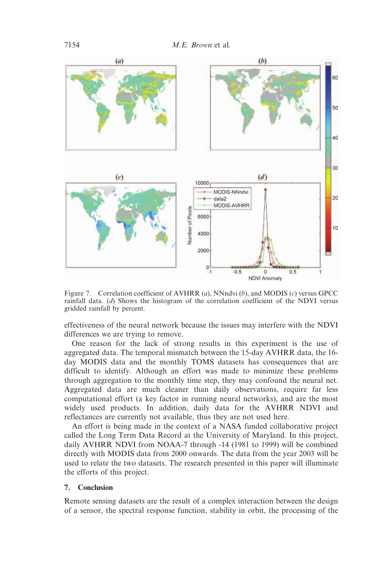

Figure 7. Correlation coefficient of AVHRR  $(a)$ , NNndvi  $(b)$ , and MODIS  $(c)$  versus GPCC rainfall data. (d) Shows the histogram of the correlation coefficient of the NDVI versus gridded rainfall by percent.

effectiveness of the neural network because the issues may interfere with the NDVI differences we are trying to remove.

One reason for the lack of strong results in this experiment is the use of aggregated data. The temporal mismatch between the 15-day AVHRR data, the 16 day MODIS data and the monthly TOMS datasets has consequences that are difficult to identify. Although an effort was made to minimize these problems through aggregation to the monthly time step, they may confound the neural net. Aggregated data are much cleaner than daily observations, require far less computational effort (a key factor in running neural networks), and are the most widely used products. In addition, daily data for the AVHRR NDVI and reflectances are currently not available, thus they are not used here.

An effort is being made in the context of a NASA funded collaborative project called the Long Term Data Record at the University of Maryland. In this project, daily AVHRR NDVI from NOAA-7 through -14 (1981 to 1999) will be combined directly with MODIS data from 2000 onwards. The data from the year 2003 will be used to relate the two datasets. The research presented in this paper will illuminate the efforts of this project.

#### 7. Conclusion

Remote sensing datasets are the result of a complex interaction between the design of a sensor, the spectral response function, stability in orbit, the processing of the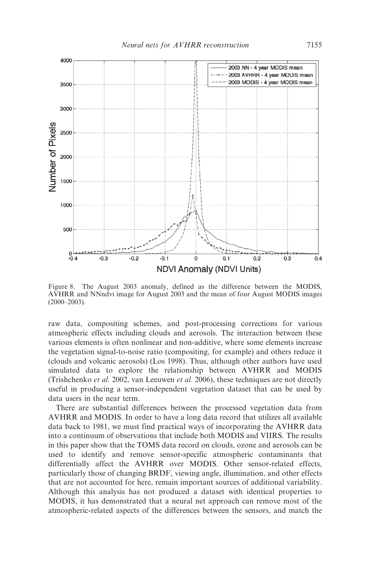

Figure 8. The August 2003 anomaly, defined as the difference between the MODIS, AVHRR and NNndvi image for August 2003 and the mean of four August MODIS images  $(2000-2003)$ .

raw data, compositing schemes, and post-processing corrections for various atmospheric effects including clouds and aerosols. The interaction between these various elements is often nonlinear and non-additive, where some elements increase the vegetation signal-to-noise ratio (compositing, for example) and others reduce it (clouds and volcanic aerosols) (Los 1998). Thus, although other authors have used simulated data to explore the relationship between AVHRR and MODIS (Trishchenko et al. 2002, van Leeuwen et al. 2006), these techniques are not directly useful in producing a sensor-independent vegetation dataset that can be used by data users in the near term.

There are substantial differences between the processed vegetation data from AVHRR and MODIS. In order to have a long data record that utilizes all available data back to 1981, we must find practical ways of incorporating the AVHRR data into a continuum of observations that include both MODIS and VIIRS. The results in this paper show that the TOMS data record on clouds, ozone and aerosols can be used to identify and remove sensor-specific atmospheric contaminants that differentially affect the AVHRR over MODIS. Other sensor-related effects, particularly those of changing BRDF, viewing angle, illumination, and other effects that are not accounted for here, remain important sources of additional variability. Although this analysis has not produced a dataset with identical properties to MODIS, it has demonstrated that a neural net approach can remove most of the atmospheric-related aspects of the differences between the sensors, and match the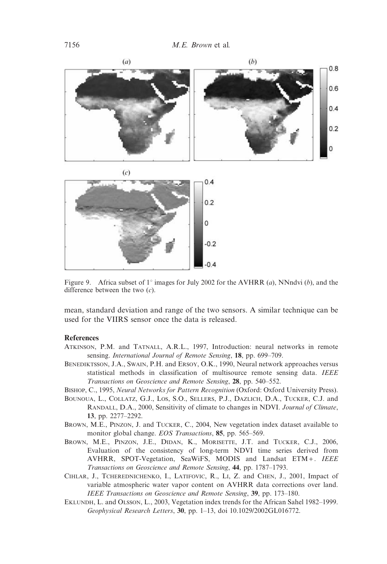

Figure 9. Africa subset of 1° images for July 2002 for the AVHRR (a), NNndvi (b), and the difference between the two  $(c)$ .

mean, standard deviation and range of the two sensors. A similar technique can be used for the VIIRS sensor once the data is released.

#### References

- ATKINSON, P.M. and TATNALL, A.R.L., 1997, Introduction: neural networks in remote sensing. International Journal of Remote Sensing, 18, pp. 699–709.
- BENEDIKTSSON, J.A., SWAIN, P.H. and ERSOY, O.K., 1990, Neural network approaches versus statistical methods in classification of multisource remote sensing data. IEEE Transactions on Geoscience and Remote Sensing, 28, pp. 540–552.
- BISHOP, C., 1995, Neural Networks for Pattern Recognition (Oxford: Oxford University Press).
- BOUNOUA, L., COLLATZ, G.J., LOS, S.O., SELLERS, P.J., DAZLICH, D.A., TUCKER, C.J. and RANDALL, D.A., 2000, Sensitivity of climate to changes in NDVI. Journal of Climate, 13, pp. 2277–2292.
- BROWN, M.E., PINZON, J. and TUCKER, C., 2004, New vegetation index dataset available to monitor global change. EOS Transactions, 85, pp. 565–569.
- BROWN, M.E., PINZON, J.E., DIDAN, K., MORISETTE, J.T. and TUCKER, C.J., 2006, Evaluation of the consistency of long-term NDVI time series derived from AVHRR, SPOT-Vegetation, SeaWiFS, MODIS and Landsat ETM *+* . IEEE Transactions on Geoscience and Remote Sensing, 44, pp. 1787–1793.
- CIHLAR, J., TCHEREDNICHENKO, I., LATIFOVIC, R., LI, Z. and CHEN, J., 2001, Impact of variable atmospheric water vapor content on AVHRR data corrections over land. IEEE Transactions on Geoscience and Remote Sensing, 39, pp. 173-180.
- EKLUNDH, L. and OLSSON, L., 2003, Vegetation index trends for the African Sahel 1982–1999. Geophysical Research Letters, 30, pp. 1–13, doi 10.1029/2002GL016772.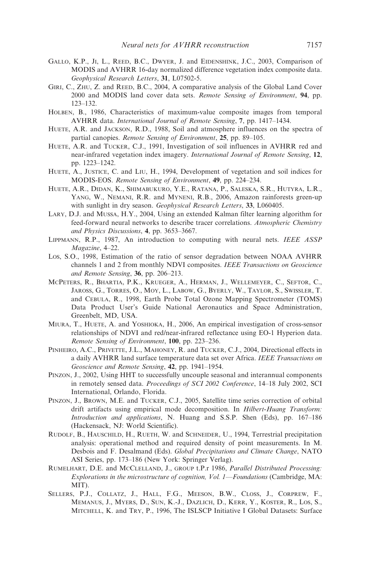- GALLO, K.P., JI, L., REED, B.C., DWYER, J. and EIDENSHINK, J.C., 2003, Comparison of MODIS and AVHRR 16-day normalized difference vegetation index composite data. Geophysical Research Letters, 31, L07502-5.
- GIRI, C., ZHU, Z. and REED, B.C., 2004, A comparative analysis of the Global Land Cover 2000 and MODIS land cover data sets. Remote Sensing of Environment, 94, pp. 123–132.
- HOLBEN, B., 1986, Characteristics of maximum-value composite images from temporal AVHRR data. International Journal of Remote Sensing, 7, pp. 1417–1434.
- HUETE, A.R. and JACKSON, R.D., 1988, Soil and atmosphere influences on the spectra of partial canopies. Remote Sensing of Environment, 25, pp. 89–105.
- HUETE, A.R. and TUCKER, C.J., 1991, Investigation of soil influences in AVHRR red and near-infrared vegetation index imagery. International Journal of Remote Sensing, 12, pp. 1223–1242.
- HUETE, A., JUSTICE, C. and LIU, H., 1994, Development of vegetation and soil indices for MODIS-EOS. Remote Sensing of Environment, 49, pp. 224–234.
- HUETE, A.R., DIDAN, K., SHIMABUKURO, Y.E., RATANA, P., SALESKA, S.R., HUTYRA, L.R., YANG, W., NEMANI, R.R. and MYNENI, R.B., 2006, Amazon rainforests green-up with sunlight in dry season. Geophysical Research Letters, 33, L060405.
- LARY, D.J. and MUSSA, H.Y., 2004, Using an extended Kalman filter learning algorithm for feed-forward neural networks to describe tracer correlations. Atmospheric Chemistry and Physics Discussions, 4, pp. 3653–3667.
- LIPPMANN, R.P., 1987, An introduction to computing with neural nets. IEEE ASSP Magazine, 4–22.
- LOS, S.O., 1998, Estimation of the ratio of sensor degradation between NOAA AVHRR channels 1 and 2 from monthly NDVI composites. IEEE Transactions on Geoscience and Remote Sensing, 36, pp. 206–213.
- MCPETERS, R., BHARTIA, P.K., KRUEGER, A., HERMAN, J., WELLEMEYER, C., SEFTOR, C., JAROSS, G., TORRES, O., MOY, L., LABOW, G., BYERLY, W., TAYLOR, S., SWISSLER, T. and CEBULA, R., 1998, Earth Probe Total Ozone Mapping Spectrometer (TOMS) Data Product User's Guide National Aeronautics and Space Administration, Greenbelt, MD, USA.
- MIURA, T., HUETE, A. and YOSHIOKA, H., 2006, An empirical investigation of cross-sensor relationships of NDVI and red/near-infrared reflectance using EO-1 Hyperion data. Remote Sensing of Environment, 100, pp. 223–236.
- PINHEIRO, A.C., PRIVETTE, J.L., MAHONEY, R. and TUCKER, C.J., 2004, Directional effects in a daily AVHRR land surface temperature data set over Africa. IEEE Transactions on Geoscience and Remote Sensing, 42, pp. 1941–1954.
- PINZON, J., 2002, Using HHT to successfully uncouple seasonal and interannual components in remotely sensed data. Proceedings of SCI 2002 Conference, 14–18 July 2002, SCI International, Orlando, Florida.
- PINZON, J., BROWN, M.E. and TUCKER, C.J., 2005, Satellite time series correction of orbital drift artifacts using empirical mode decomposition. In Hilbert-Huang Transform: Introduction and applications, N. Huang and S.S.P. Shen (Eds), pp. 167–186 (Hackensack, NJ: World Scientific).
- RUDOLF, B., HAUSCHILD, H., RUETH, W. and SCHNEIDER, U., 1994, Terrestrial precipitation analysis: operational method and required density of point measurements. In M. Desbois and F. Desalmand (Eds). Global Precipitations and Climate Change, NATO ASI Series, pp. 173–186 (New York: Springer Verlag).
- RUMELHART, D.E. and MCCLELLAND, J., GROUP t.P.r 1986, Parallel Distributed Processing: Explorations in the microstructure of cognition, Vol. 1—Foundations (Cambridge, MA: MIT).
- SELLERS, P.J., COLLATZ, J., HALL, F.G., MEESON, B.W., CLOSS, J., CORPREW, F., MEMANUS, J., MYERS, D., SUN, K.-J., DAZLICH, D., KERR, Y., KOSTER, R., LOS, S., MITCHELL, K. and TRY, P., 1996, The ISLSCP Initiative I Global Datasets: Surface